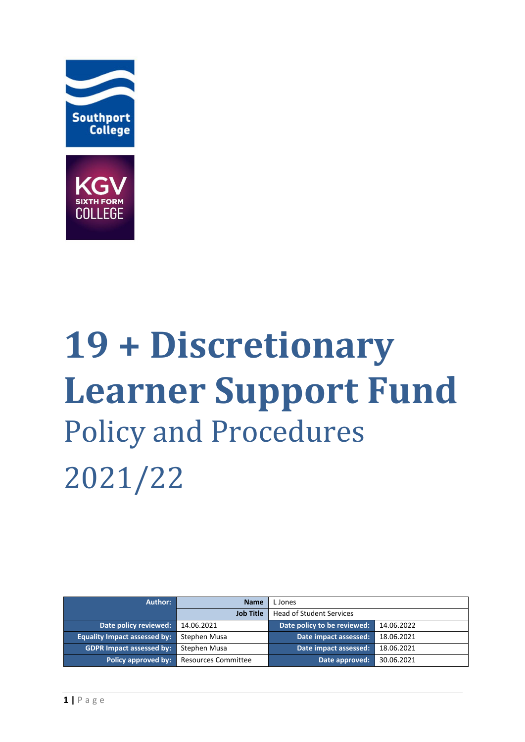



# **19 + Discretionary Learner Support Fund**  Policy and Procedures 2021/22

| Author:                             | <b>Name</b>                | L Jones                         |            |
|-------------------------------------|----------------------------|---------------------------------|------------|
|                                     | <b>Job Title</b>           | <b>Head of Student Services</b> |            |
| Date policy reviewed:               | 14.06.2021                 | Date policy to be reviewed:     | 14.06.2022 |
| <b>Equality Impact assessed by:</b> | Stephen Musa               | Date impact assessed:           | 18.06.2021 |
| <b>GDPR Impact assessed by:</b>     | Stephen Musa               | Date impact assessed:           | 18.06.2021 |
| Policy approved by:                 | <b>Resources Committee</b> | Date approved:                  | 30.06.2021 |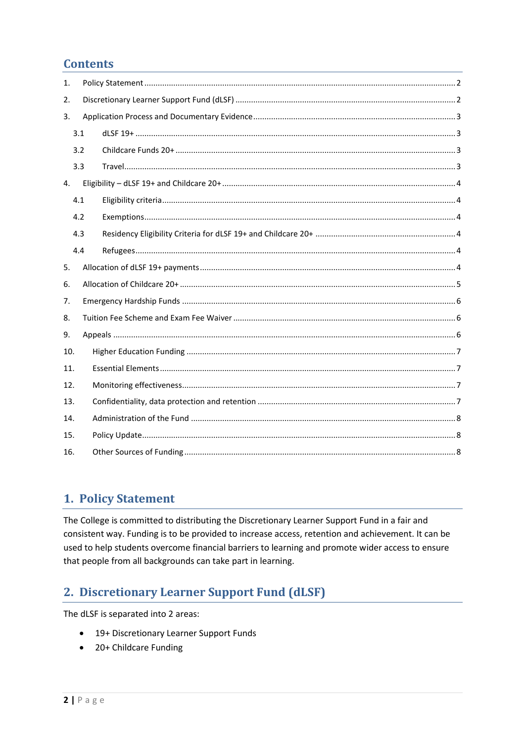## **Contents**

| 1.  |     |  |  |  |  |
|-----|-----|--|--|--|--|
| 2.  |     |  |  |  |  |
| 3.  |     |  |  |  |  |
|     | 3.1 |  |  |  |  |
|     | 3.2 |  |  |  |  |
|     | 3.3 |  |  |  |  |
| 4.  |     |  |  |  |  |
|     | 4.1 |  |  |  |  |
|     | 4.2 |  |  |  |  |
|     | 4.3 |  |  |  |  |
|     | 4.4 |  |  |  |  |
| 5.  |     |  |  |  |  |
| 6.  |     |  |  |  |  |
| 7.  |     |  |  |  |  |
| 8.  |     |  |  |  |  |
|     | 9.  |  |  |  |  |
| 10. |     |  |  |  |  |
| 11. |     |  |  |  |  |
| 12. |     |  |  |  |  |
| 13. |     |  |  |  |  |
| 14. |     |  |  |  |  |
| 15. |     |  |  |  |  |
| 16. |     |  |  |  |  |

## <span id="page-1-0"></span>1. Policy Statement

The College is committed to distributing the Discretionary Learner Support Fund in a fair and consistent way. Funding is to be provided to increase access, retention and achievement. It can be used to help students overcome financial barriers to learning and promote wider access to ensure that people from all backgrounds can take part in learning.

## <span id="page-1-1"></span>2. Discretionary Learner Support Fund (dLSF)

The dLSF is separated into 2 areas:

- 19+ Discretionary Learner Support Funds
- 20+ Childcare Funding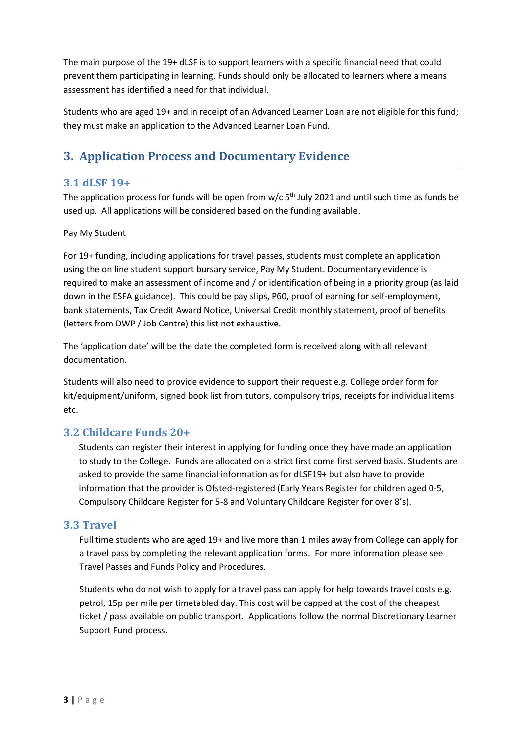The main purpose of the 19+ dLSF is to support learners with a specific financial need that could prevent them participating in learning. Funds should only be allocated to learners where a means assessment has identified a need for that individual.

Students who are aged 19+ and in receipt of an Advanced Learner Loan are not eligible for this fund; they must make an application to the Advanced Learner Loan Fund.

# <span id="page-2-0"></span>**3. Application Process and Documentary Evidence**

#### <span id="page-2-1"></span>**3.1 dLSF 19+**

The application process for funds will be open from  $w/c$  5<sup>th</sup> July 2021 and until such time as funds be used up. All applications will be considered based on the funding available.

#### Pay My Student

For 19+ funding, including applications for travel passes, students must complete an application using the on line student support bursary service, Pay My Student. Documentary evidence is required to make an assessment of income and / or identification of being in a priority group (as laid down in the ESFA guidance). This could be pay slips, P60, proof of earning for self-employment, bank statements, Tax Credit Award Notice, Universal Credit monthly statement, proof of benefits (letters from DWP / Job Centre) this list not exhaustive.

The 'application date' will be the date the completed form is received along with all relevant documentation.

Students will also need to provide evidence to support their request e.g. College order form for kit/equipment/uniform, signed book list from tutors, compulsory trips, receipts for individual items etc.

#### <span id="page-2-2"></span>**3.2 Childcare Funds 20+**

Students can register their interest in applying for funding once they have made an application to study to the College. Funds are allocated on a strict first come first served basis. Students are asked to provide the same financial information as for dLSF19+ but also have to provide information that the provider is Ofsted-registered (Early Years Register for children aged 0-5, Compulsory Childcare Register for 5-8 and Voluntary Childcare Register for over 8's).

#### <span id="page-2-3"></span>**3.3 Travel**

Full time students who are aged 19+ and live more than 1 miles away from College can apply for a travel pass by completing the relevant application forms. For more information please see Travel Passes and Funds Policy and Procedures.

Students who do not wish to apply for a travel pass can apply for help towards travel costs e.g. petrol, 15p per mile per timetabled day. This cost will be capped at the cost of the cheapest ticket / pass available on public transport. Applications follow the normal Discretionary Learner Support Fund process.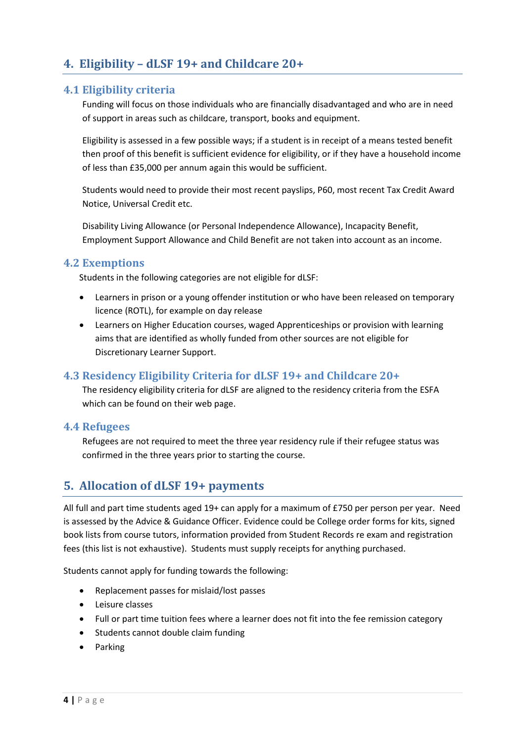# <span id="page-3-0"></span>**4. Eligibility – dLSF 19+ and Childcare 20+**

#### <span id="page-3-1"></span>**4.1 Eligibility criteria**

Funding will focus on those individuals who are financially disadvantaged and who are in need of support in areas such as childcare, transport, books and equipment.

Eligibility is assessed in a few possible ways; if a student is in receipt of a means tested benefit then proof of this benefit is sufficient evidence for eligibility, or if they have a household income of less than £35,000 per annum again this would be sufficient.

Students would need to provide their most recent payslips, P60, most recent Tax Credit Award Notice, Universal Credit etc.

Disability Living Allowance (or Personal Independence Allowance), Incapacity Benefit, Employment Support Allowance and Child Benefit are not taken into account as an income.

#### <span id="page-3-2"></span>**4.2 Exemptions**

Students in the following categories are not eligible for dLSF:

- Learners in prison or a young offender institution or who have been released on temporary licence (ROTL), for example on day release
- Learners on Higher Education courses, waged Apprenticeships or provision with learning aims that are identified as wholly funded from other sources are not eligible for Discretionary Learner Support.

#### <span id="page-3-3"></span>**4.3 Residency Eligibility Criteria for dLSF 19+ and Childcare 20+**

The residency eligibility criteria for dLSF are aligned to the residency criteria from the ESFA which can be found on their web page.

#### <span id="page-3-4"></span>**4.4 Refugees**

Refugees are not required to meet the three year residency rule if their refugee status was confirmed in the three years prior to starting the course.

#### <span id="page-3-5"></span>**5. Allocation of dLSF 19+ payments**

All full and part time students aged 19+ can apply for a maximum of £750 per person per year. Need is assessed by the Advice & Guidance Officer. Evidence could be College order forms for kits, signed book lists from course tutors, information provided from Student Records re exam and registration fees (this list is not exhaustive). Students must supply receipts for anything purchased.

Students cannot apply for funding towards the following:

- Replacement passes for mislaid/lost passes
- Leisure classes
- Full or part time tuition fees where a learner does not fit into the fee remission category
- Students cannot double claim funding
- Parking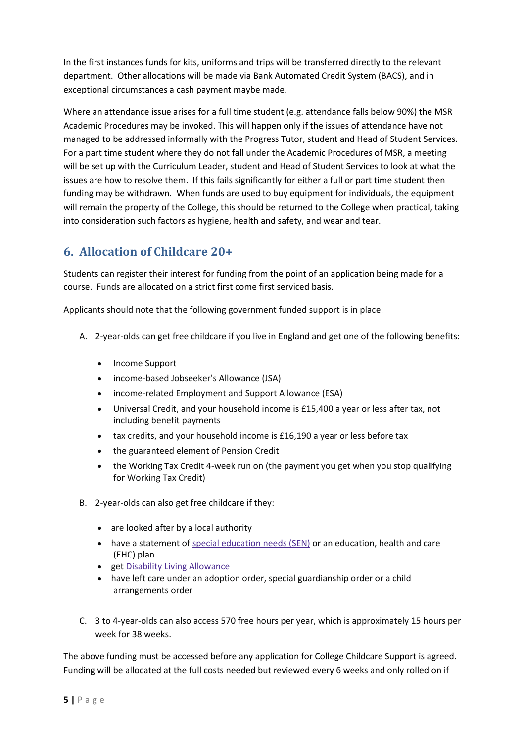In the first instances funds for kits, uniforms and trips will be transferred directly to the relevant department. Other allocations will be made via Bank Automated Credit System (BACS), and in exceptional circumstances a cash payment maybe made.

Where an attendance issue arises for a full time student (e.g. attendance falls below 90%) the MSR Academic Procedures may be invoked. This will happen only if the issues of attendance have not managed to be addressed informally with the Progress Tutor, student and Head of Student Services. For a part time student where they do not fall under the Academic Procedures of MSR, a meeting will be set up with the Curriculum Leader, student and Head of Student Services to look at what the issues are how to resolve them. If this fails significantly for either a full or part time student then funding may be withdrawn. When funds are used to buy equipment for individuals, the equipment will remain the property of the College, this should be returned to the College when practical, taking into consideration such factors as hygiene, health and safety, and wear and tear.

# <span id="page-4-0"></span>**6. Allocation of Childcare 20+**

Students can register their interest for funding from the point of an application being made for a course. Funds are allocated on a strict first come first serviced basis.

Applicants should note that the following government funded support is in place:

- A. 2-year-olds can get free childcare if you live in England and get one of the following benefits:
	- Income Support
	- income-based Jobseeker's Allowance (JSA)
	- income-related Employment and Support Allowance (ESA)
	- Universal Credit, and your household income is £15,400 a year or less after tax, not including benefit payments
	- tax credits, and your household income is £16,190 a year or less before tax
	- the guaranteed element of Pension Credit
	- the Working Tax Credit 4-week run on (the payment you get when you stop qualifying for Working Tax Credit)
- B. 2-year-olds can also get free childcare if they:
	- are looked after by a local authority
	- have a statement of special [education](https://www.gov.uk/children-with-special-educational-needs) needs (SEN) or an education, health and care (EHC) plan
	- get Disability Living [Allowance](https://www.gov.uk/disability-living-allowance-children)
	- have left care under an adoption order, special guardianship order or a child arrangements order
- C. 3 to 4-year-olds can also access 570 free hours per year, which is approximately 15 hours per week for 38 weeks.

The above funding must be accessed before any application for College Childcare Support is agreed. Funding will be allocated at the full costs needed but reviewed every 6 weeks and only rolled on if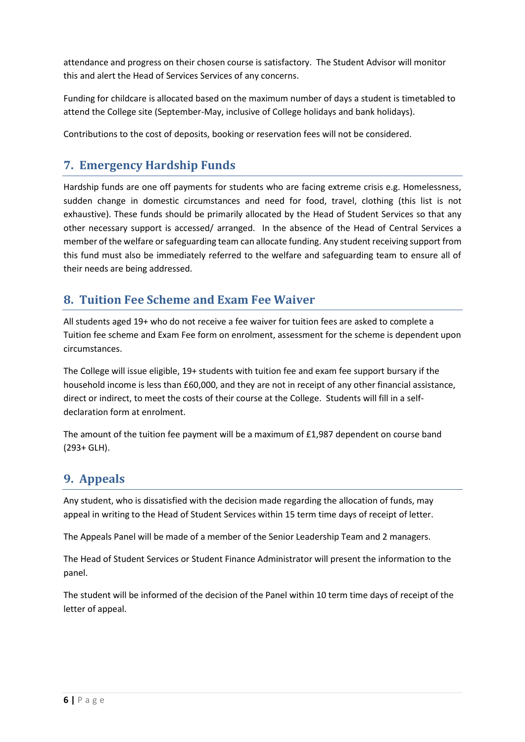attendance and progress on their chosen course is satisfactory. The Student Advisor will monitor this and alert the Head of Services Services of any concerns.

Funding for childcare is allocated based on the maximum number of days a student is timetabled to attend the College site (September-May, inclusive of College holidays and bank holidays).

Contributions to the cost of deposits, booking or reservation fees will not be considered.

## <span id="page-5-0"></span>**7. Emergency Hardship Funds**

Hardship funds are one off payments for students who are facing extreme crisis e.g. Homelessness, sudden change in domestic circumstances and need for food, travel, clothing (this list is not exhaustive). These funds should be primarily allocated by the Head of Student Services so that any other necessary support is accessed/ arranged. In the absence of the Head of Central Services a member of the welfare or safeguarding team can allocate funding. Any student receiving support from this fund must also be immediately referred to the welfare and safeguarding team to ensure all of their needs are being addressed.

## <span id="page-5-1"></span>**8. Tuition Fee Scheme and Exam Fee Waiver**

All students aged 19+ who do not receive a fee waiver for tuition fees are asked to complete a Tuition fee scheme and Exam Fee form on enrolment, assessment for the scheme is dependent upon circumstances.

The College will issue eligible, 19+ students with tuition fee and exam fee support bursary if the household income is less than £60,000, and they are not in receipt of any other financial assistance, direct or indirect, to meet the costs of their course at the College. Students will fill in a selfdeclaration form at enrolment.

The amount of the tuition fee payment will be a maximum of £1,987 dependent on course band (293+ GLH).

# <span id="page-5-2"></span>**9. Appeals**

Any student, who is dissatisfied with the decision made regarding the allocation of funds, may appeal in writing to the Head of Student Services within 15 term time days of receipt of letter.

The Appeals Panel will be made of a member of the Senior Leadership Team and 2 managers.

The Head of Student Services or Student Finance Administrator will present the information to the panel.

The student will be informed of the decision of the Panel within 10 term time days of receipt of the letter of appeal.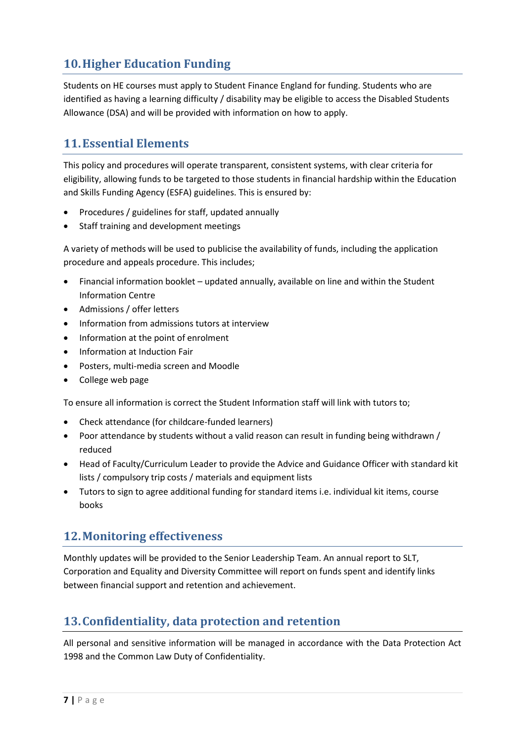# <span id="page-6-0"></span>**10.Higher Education Funding**

Students on HE courses must apply to Student Finance England for funding. Students who are identified as having a learning difficulty / disability may be eligible to access the Disabled Students Allowance (DSA) and will be provided with information on how to apply.

## <span id="page-6-1"></span>**11.Essential Elements**

This policy and procedures will operate transparent, consistent systems, with clear criteria for eligibility, allowing funds to be targeted to those students in financial hardship within the Education and Skills Funding Agency (ESFA) guidelines. This is ensured by:

- Procedures / guidelines for staff, updated annually
- Staff training and development meetings

A variety of methods will be used to publicise the availability of funds, including the application procedure and appeals procedure. This includes;

- Financial information booklet updated annually, available on line and within the Student Information Centre
- Admissions / offer letters
- Information from admissions tutors at interview
- Information at the point of enrolment
- Information at Induction Fair
- Posters, multi-media screen and Moodle
- College web page

To ensure all information is correct the Student Information staff will link with tutors to;

- Check attendance (for childcare-funded learners)
- Poor attendance by students without a valid reason can result in funding being withdrawn / reduced
- Head of Faculty/Curriculum Leader to provide the Advice and Guidance Officer with standard kit lists / compulsory trip costs / materials and equipment lists
- Tutors to sign to agree additional funding for standard items i.e. individual kit items, course books

#### <span id="page-6-2"></span>**12.Monitoring effectiveness**

Monthly updates will be provided to the Senior Leadership Team. An annual report to SLT, Corporation and Equality and Diversity Committee will report on funds spent and identify links between financial support and retention and achievement.

## <span id="page-6-3"></span>**13.Confidentiality, data protection and retention**

All personal and sensitive information will be managed in accordance with the Data Protection Act 1998 and the Common Law Duty of Confidentiality.